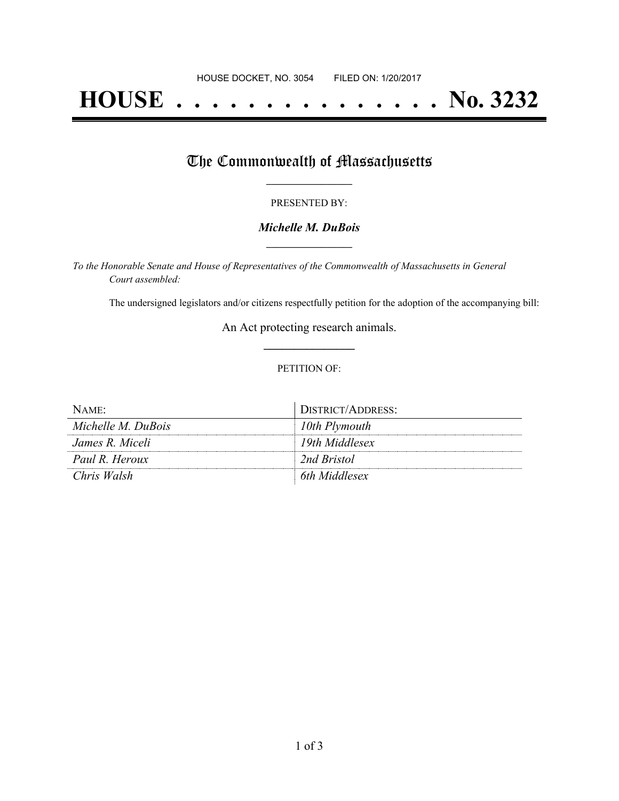# **HOUSE . . . . . . . . . . . . . . . No. 3232**

## The Commonwealth of Massachusetts

#### PRESENTED BY:

### *Michelle M. DuBois* **\_\_\_\_\_\_\_\_\_\_\_\_\_\_\_\_\_**

*To the Honorable Senate and House of Representatives of the Commonwealth of Massachusetts in General Court assembled:*

The undersigned legislators and/or citizens respectfully petition for the adoption of the accompanying bill:

An Act protecting research animals. **\_\_\_\_\_\_\_\_\_\_\_\_\_\_\_**

#### PETITION OF:

| $N$ AME <sup><math>\cdot</math></sup> | DISTRICT/ADDRESS: |
|---------------------------------------|-------------------|
| Michelle M. DuBois                    | 10th Plymouth     |
| James R. Miceli                       | 19th Middlesex    |
| Paul R. Heroux                        | 2nd Bristol       |
| Chris Walsh                           | 6th Middlesex     |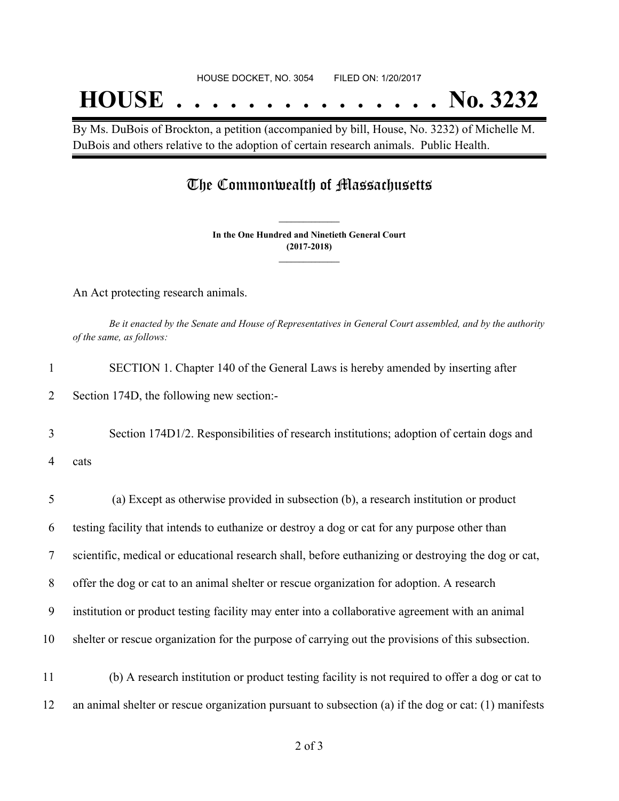## **HOUSE . . . . . . . . . . . . . . . No. 3232**

By Ms. DuBois of Brockton, a petition (accompanied by bill, House, No. 3232) of Michelle M. DuBois and others relative to the adoption of certain research animals. Public Health.

### The Commonwealth of Massachusetts

**In the One Hundred and Ninetieth General Court (2017-2018) \_\_\_\_\_\_\_\_\_\_\_\_\_\_\_**

**\_\_\_\_\_\_\_\_\_\_\_\_\_\_\_**

An Act protecting research animals.

Be it enacted by the Senate and House of Representatives in General Court assembled, and by the authority *of the same, as follows:*

| 1              | SECTION 1. Chapter 140 of the General Laws is hereby amended by inserting after                      |
|----------------|------------------------------------------------------------------------------------------------------|
| 2              | Section 174D, the following new section:-                                                            |
| 3              | Section 174D1/2. Responsibilities of research institutions; adoption of certain dogs and             |
| 4              | cats                                                                                                 |
| 5              | (a) Except as otherwise provided in subsection (b), a research institution or product                |
| 6              | testing facility that intends to euthanize or destroy a dog or cat for any purpose other than        |
| $\overline{7}$ | scientific, medical or educational research shall, before euthanizing or destroying the dog or cat,  |
| 8              | offer the dog or cat to an animal shelter or rescue organization for adoption. A research            |
| 9              | institution or product testing facility may enter into a collaborative agreement with an animal      |
| 10             | shelter or rescue organization for the purpose of carrying out the provisions of this subsection.    |
| 11             | (b) A research institution or product testing facility is not required to offer a dog or cat to      |
| 12             | an animal shelter or rescue organization pursuant to subsection (a) if the dog or cat: (1) manifests |